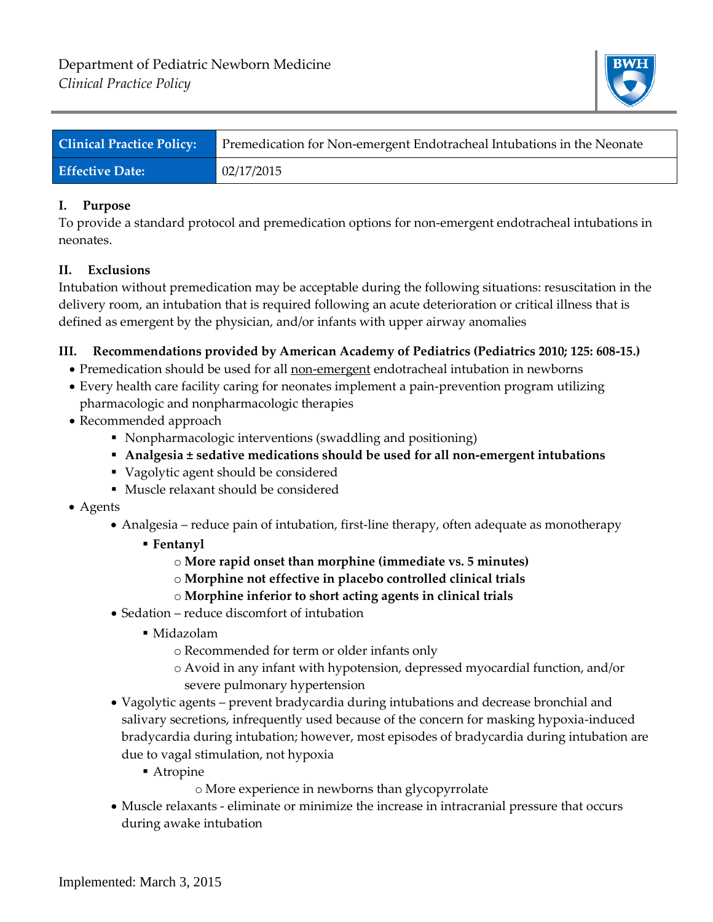

| <b>Clinical Practice Policy:</b> | Premedication for Non-emergent Endotracheal Intubations in the Neonate |
|----------------------------------|------------------------------------------------------------------------|
| <b>Effective Date:</b>           | 02/17/2015                                                             |

## **I. Purpose**

To provide a standard protocol and premedication options for non-emergent endotracheal intubations in neonates.

## **II. Exclusions**

Intubation without premedication may be acceptable during the following situations: resuscitation in the delivery room, an intubation that is required following an acute deterioration or critical illness that is defined as emergent by the physician, and/or infants with upper airway anomalies

## **III. Recommendations provided by American Academy of Pediatrics (Pediatrics 2010; 125: 608-15.)**

- Premedication should be used for all non-emergent endotracheal intubation in newborns
- Every health care facility caring for neonates implement a pain-prevention program utilizing pharmacologic and nonpharmacologic therapies
- Recommended approach
	- Nonpharmacologic interventions (swaddling and positioning)
	- **Analgesia ± sedative medications should be used for all non-emergent intubations**
	- Vagolytic agent should be considered
	- Muscle relaxant should be considered
- Agents
	- Analgesia reduce pain of intubation, first-line therapy, often adequate as monotherapy
		- **Fentanyl**
			- o **More rapid onset than morphine (immediate vs. 5 minutes)**
			- o **Morphine not effective in placebo controlled clinical trials**
			- o **Morphine inferior to short acting agents in clinical trials**
	- Sedation reduce discomfort of intubation
		- Midazolam
			- o Recommended for term or older infants only
			- o Avoid in any infant with hypotension, depressed myocardial function, and/or severe pulmonary hypertension
	- Vagolytic agents prevent bradycardia during intubations and decrease bronchial and salivary secretions, infrequently used because of the concern for masking hypoxia-induced bradycardia during intubation; however, most episodes of bradycardia during intubation are due to vagal stimulation, not hypoxia
		- Atropine
			- o More experience in newborns than glycopyrrolate
	- Muscle relaxants eliminate or minimize the increase in intracranial pressure that occurs during awake intubation